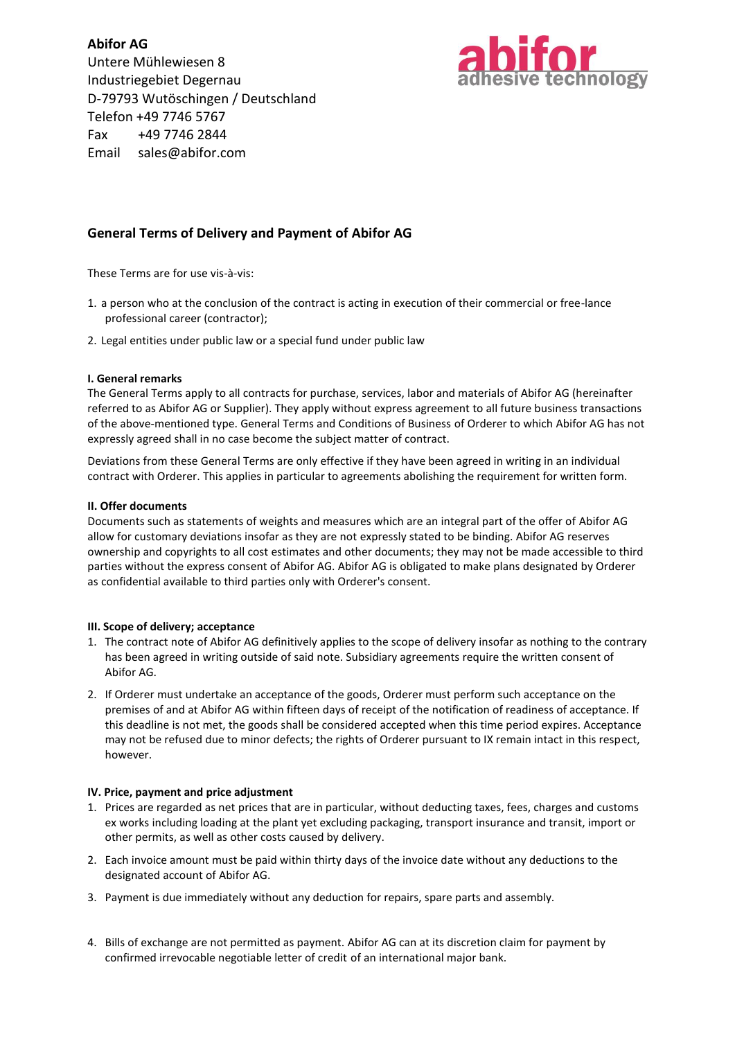**Abifor AG** Untere Mühlewiesen 8 Industriegebiet Degernau D-79793 Wutöschingen / Deutschland Telefon +49 7746 5767 Fax +49 7746 2844 Email sales@abifor.com



# **General Terms of Delivery and Payment of Abifor AG**

These Terms are for use vis-à-vis:

- 1. a person who at the conclusion of the contract is acting in execution of their commercial or free-lance professional career (contractor);
- 2. Legal entities under public law or a special fund under public law

# **I. General remarks**

The General Terms apply to all contracts for purchase, services, labor and materials of Abifor AG (hereinafter referred to as Abifor AG or Supplier). They apply without express agreement to all future business transactions of the above-mentioned type. General Terms and Conditions of Business of Orderer to which Abifor AG has not expressly agreed shall in no case become the subject matter of contract.

Deviations from these General Terms are only effective if they have been agreed in writing in an individual contract with Orderer. This applies in particular to agreements abolishing the requirement for written form.

# **II. Offer documents**

Documents such as statements of weights and measures which are an integral part of the offer of Abifor AG allow for customary deviations insofar as they are not expressly stated to be binding. Abifor AG reserves ownership and copyrights to all cost estimates and other documents; they may not be made accessible to third parties without the express consent of Abifor AG. Abifor AG is obligated to make plans designated by Orderer as confidential available to third parties only with Orderer's consent.

# **III. Scope of delivery; acceptance**

- 1. The contract note of Abifor AG definitively applies to the scope of delivery insofar as nothing to the contrary has been agreed in writing outside of said note. Subsidiary agreements require the written consent of Abifor AG.
- 2. If Orderer must undertake an acceptance of the goods, Orderer must perform such acceptance on the premises of and at Abifor AG within fifteen days of receipt of the notification of readiness of acceptance. If this deadline is not met, the goods shall be considered accepted when this time period expires. Acceptance may not be refused due to minor defects; the rights of Orderer pursuant to IX remain intact in this respect, however.

# **IV. Price, payment and price adjustment**

- 1. Prices are regarded as net prices that are in particular, without deducting taxes, fees, charges and customs ex works including loading at the plant yet excluding packaging, transport insurance and transit, import or other permits, as well as other costs caused by delivery.
- 2. Each invoice amount must be paid within thirty days of the invoice date without any deductions to the designated account of Abifor AG.
- 3. Payment is due immediately without any deduction for repairs, spare parts and assembly.
- 4. Bills of exchange are not permitted as payment. Abifor AG can at its discretion claim for payment by [confirmed](http://dict.leo.org/ende/index_de.html#/search=confirmed&searchLoc=0&resultOrder=basic&multiwordShowSingle=on) [irrevocable](http://dict.leo.org/ende/index_de.html#/search=irrevocable&searchLoc=0&resultOrder=basic&multiwordShowSingle=on) [negotiable](http://dict.leo.org/ende/index_de.html#/search=negotiable&searchLoc=0&resultOrder=basic&multiwordShowSingle=on) [letter](http://dict.leo.org/ende/index_de.html#/search=letter&searchLoc=0&resultOrder=basic&multiwordShowSingle=on) [of](http://dict.leo.org/ende/index_de.html#/search=of&searchLoc=0&resultOrder=basic&multiwordShowSingle=on) [credit](http://dict.leo.org/ende/index_de.html#/search=credit&searchLoc=0&resultOrder=basic&multiwordShowSingle=on) of an international major bank.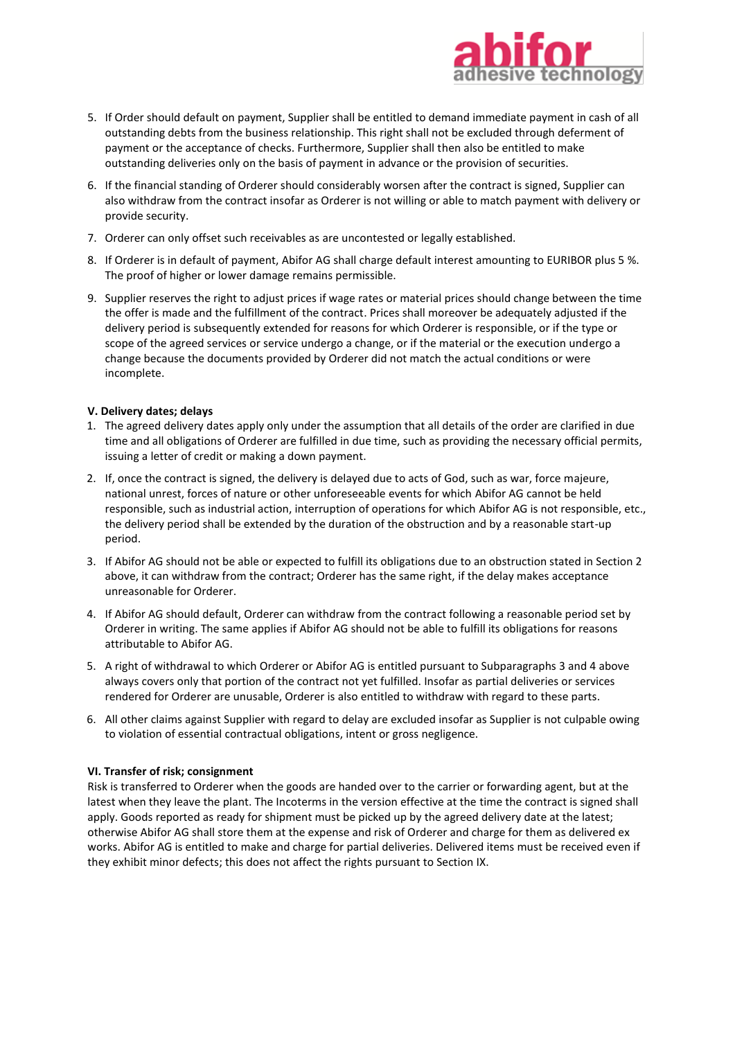

- 5. If Order should default on payment, Supplier shall be entitled to demand immediate payment in cash of all outstanding debts from the business relationship. This right shall not be excluded through deferment of payment or the acceptance of checks. Furthermore, Supplier shall then also be entitled to make outstanding deliveries only on the basis of payment in advance or the provision of securities.
- 6. If the financial standing of Orderer should considerably worsen after the contract is signed, Supplier can also withdraw from the contract insofar as Orderer is not willing or able to match payment with delivery or provide security.
- 7. Orderer can only offset such receivables as are uncontested or legally established.
- 8. If Orderer is in default of payment, Abifor AG shall charge default interest amounting to EURIBOR plus 5 %. The proof of higher or lower damage remains permissible.
- 9. Supplier reserves the right to adjust prices if wage rates or material prices should change between the time the offer is made and the fulfillment of the contract. Prices shall moreover be adequately adjusted if the delivery period is subsequently extended for reasons for which Orderer is responsible, or if the type or scope of the agreed services or service undergo a change, or if the material or the execution undergo a change because the documents provided by Orderer did not match the actual conditions or were incomplete.

#### **V. Delivery dates; delays**

- 1. The agreed delivery dates apply only under the assumption that all details of the order are clarified in due time and all obligations of Orderer are fulfilled in due time, such as providing the necessary official permits, issuing a letter of credit or making a down payment.
- 2. If, once the contract is signed, the delivery is delayed due to acts of God, such as war, force majeure, national unrest, forces of nature or other unforeseeable events for which Abifor AG cannot be held responsible, such as industrial action, interruption of operations for which Abifor AG is not responsible, etc., the delivery period shall be extended by the duration of the obstruction and by a reasonable start-up period.
- 3. If Abifor AG should not be able or expected to fulfill its obligations due to an obstruction stated in Section 2 above, it can withdraw from the contract; Orderer has the same right, if the delay makes acceptance unreasonable for Orderer.
- 4. If Abifor AG should default, Orderer can withdraw from the contract following a reasonable period set by Orderer in writing. The same applies if Abifor AG should not be able to fulfill its obligations for reasons attributable to Abifor AG.
- 5. A right of withdrawal to which Orderer or Abifor AG is entitled pursuant to Subparagraphs 3 and 4 above always covers only that portion of the contract not yet fulfilled. Insofar as partial deliveries or services rendered for Orderer are unusable, Orderer is also entitled to withdraw with regard to these parts.
- 6. All other claims against Supplier with regard to delay are excluded insofar as Supplier is not culpable owing to violation of essential contractual obligations, intent or gross negligence.

#### **VI. Transfer of risk; consignment**

Risk is transferred to Orderer when the goods are handed over to the carrier or forwarding agent, but at the latest when they leave the plant. The Incoterms in the version effective at the time the contract is signed shall apply. Goods reported as ready for shipment must be picked up by the agreed delivery date at the latest; otherwise Abifor AG shall store them at the expense and risk of Orderer and charge for them as delivered ex works. Abifor AG is entitled to make and charge for partial deliveries. Delivered items must be received even if they exhibit minor defects; this does not affect the rights pursuant to Section IX.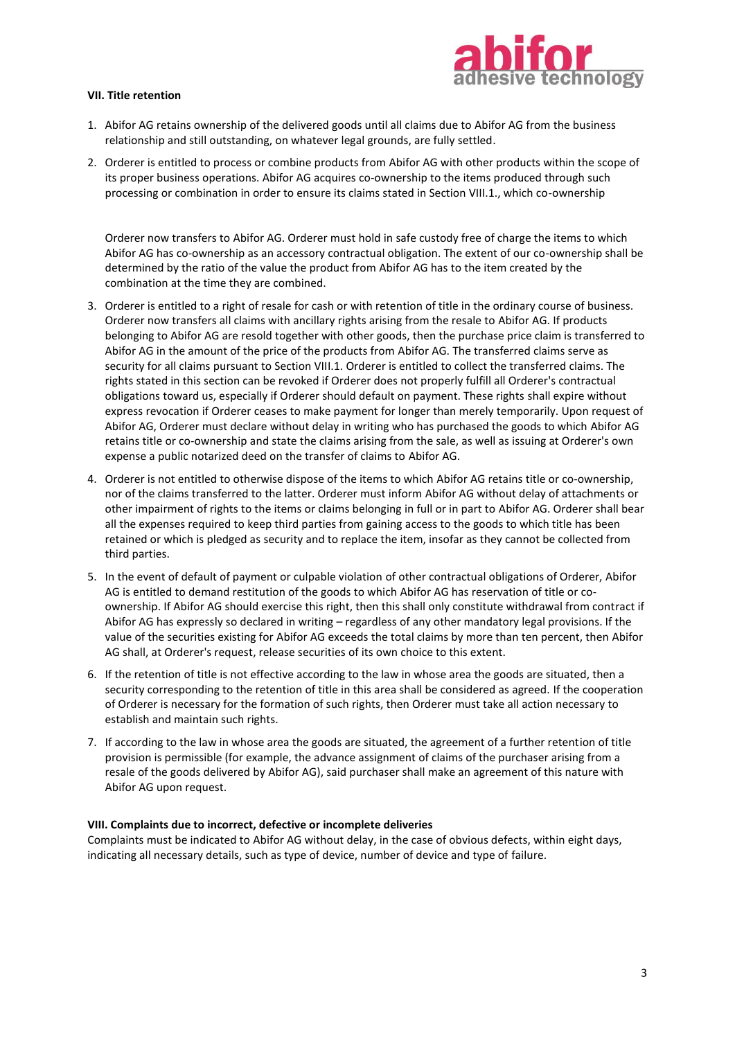

## **VII. Title retention**

- 1. Abifor AG retains ownership of the delivered goods until all claims due to Abifor AG from the business relationship and still outstanding, on whatever legal grounds, are fully settled.
- 2. Orderer is entitled to process or combine products from Abifor AG with other products within the scope of its proper business operations. Abifor AG acquires co-ownership to the items produced through such processing or combination in order to ensure its claims stated in Section VIII.1., which co-ownership

Orderer now transfers to Abifor AG. Orderer must hold in safe custody free of charge the items to which Abifor AG has co-ownership as an accessory contractual obligation. The extent of our co-ownership shall be determined by the ratio of the value the product from Abifor AG has to the item created by the combination at the time they are combined.

- 3. Orderer is entitled to a right of resale for cash or with retention of title in the ordinary course of business. Orderer now transfers all claims with ancillary rights arising from the resale to Abifor AG. If products belonging to Abifor AG are resold together with other goods, then the purchase price claim is transferred to Abifor AG in the amount of the price of the products from Abifor AG. The transferred claims serve as security for all claims pursuant to Section VIII.1. Orderer is entitled to collect the transferred claims. The rights stated in this section can be revoked if Orderer does not properly fulfill all Orderer's contractual obligations toward us, especially if Orderer should default on payment. These rights shall expire without express revocation if Orderer ceases to make payment for longer than merely temporarily. Upon request of Abifor AG, Orderer must declare without delay in writing who has purchased the goods to which Abifor AG retains title or co-ownership and state the claims arising from the sale, as well as issuing at Orderer's own expense a public notarized deed on the transfer of claims to Abifor AG.
- 4. Orderer is not entitled to otherwise dispose of the items to which Abifor AG retains title or co-ownership, nor of the claims transferred to the latter. Orderer must inform Abifor AG without delay of attachments or other impairment of rights to the items or claims belonging in full or in part to Abifor AG. Orderer shall bear all the expenses required to keep third parties from gaining access to the goods to which title has been retained or which is pledged as security and to replace the item, insofar as they cannot be collected from third parties.
- 5. In the event of default of payment or culpable violation of other contractual obligations of Orderer, Abifor AG is entitled to demand restitution of the goods to which Abifor AG has reservation of title or coownership. If Abifor AG should exercise this right, then this shall only constitute withdrawal from contract if Abifor AG has expressly so declared in writing – regardless of any other mandatory legal provisions. If the value of the securities existing for Abifor AG exceeds the total claims by more than ten percent, then Abifor AG shall, at Orderer's request, release securities of its own choice to this extent.
- 6. If the retention of title is not effective according to the law in whose area the goods are situated, then a security corresponding to the retention of title in this area shall be considered as agreed. If the cooperation of Orderer is necessary for the formation of such rights, then Orderer must take all action necessary to establish and maintain such rights.
- 7. If according to the law in whose area the goods are situated, the agreement of a further retention of title provision is permissible (for example, the advance assignment of claims of the purchaser arising from a resale of the goods delivered by Abifor AG), said purchaser shall make an agreement of this nature with Abifor AG upon request.

# **VIII. Complaints due to incorrect, defective or incomplete deliveries**

Complaints must be indicated to Abifor AG without delay, in the case of obvious defects, within eight days, indicating all necessary details, such as type of device, number of device and type of failure.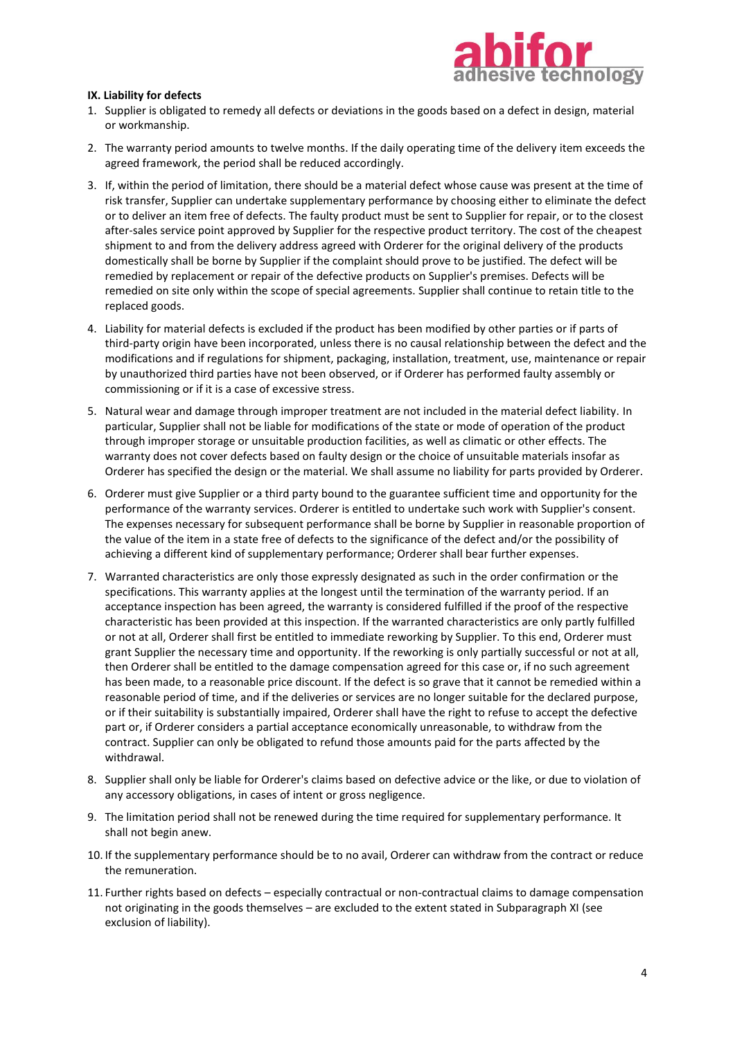

# **IX. Liability for defects**

- 1. Supplier is obligated to remedy all defects or deviations in the goods based on a defect in design, material or workmanship.
- 2. The warranty period amounts to twelve months. If the daily operating time of the delivery item exceeds the agreed framework, the period shall be reduced accordingly.
- 3. If, within the period of limitation, there should be a material defect whose cause was present at the time of risk transfer, Supplier can undertake supplementary performance by choosing either to eliminate the defect or to deliver an item free of defects. The faulty product must be sent to Supplier for repair, or to the closest after-sales service point approved by Supplier for the respective product territory. The cost of the cheapest shipment to and from the delivery address agreed with Orderer for the original delivery of the products domestically shall be borne by Supplier if the complaint should prove to be justified. The defect will be remedied by replacement or repair of the defective products on Supplier's premises. Defects will be remedied on site only within the scope of special agreements. Supplier shall continue to retain title to the replaced goods.
- 4. Liability for material defects is excluded if the product has been modified by other parties or if parts of third-party origin have been incorporated, unless there is no causal relationship between the defect and the modifications and if regulations for shipment, packaging, installation, treatment, use, maintenance or repair by unauthorized third parties have not been observed, or if Orderer has performed faulty assembly or commissioning or if it is a case of excessive stress.
- 5. Natural wear and damage through improper treatment are not included in the material defect liability. In particular, Supplier shall not be liable for modifications of the state or mode of operation of the product through improper storage or unsuitable production facilities, as well as climatic or other effects. The warranty does not cover defects based on faulty design or the choice of unsuitable materials insofar as Orderer has specified the design or the material. We shall assume no liability for parts provided by Orderer.
- 6. Orderer must give Supplier or a third party bound to the guarantee sufficient time and opportunity for the performance of the warranty services. Orderer is entitled to undertake such work with Supplier's consent. The expenses necessary for subsequent performance shall be borne by Supplier in reasonable proportion of the value of the item in a state free of defects to the significance of the defect and/or the possibility of achieving a different kind of supplementary performance; Orderer shall bear further expenses.
- 7. Warranted characteristics are only those expressly designated as such in the order confirmation or the specifications. This warranty applies at the longest until the termination of the warranty period. If an acceptance inspection has been agreed, the warranty is considered fulfilled if the proof of the respective characteristic has been provided at this inspection. If the warranted characteristics are only partly fulfilled or not at all, Orderer shall first be entitled to immediate reworking by Supplier. To this end, Orderer must grant Supplier the necessary time and opportunity. If the reworking is only partially successful or not at all, then Orderer shall be entitled to the damage compensation agreed for this case or, if no such agreement has been made, to a reasonable price discount. If the defect is so grave that it cannot be remedied within a reasonable period of time, and if the deliveries or services are no longer suitable for the declared purpose, or if their suitability is substantially impaired, Orderer shall have the right to refuse to accept the defective part or, if Orderer considers a partial acceptance economically unreasonable, to withdraw from the contract. Supplier can only be obligated to refund those amounts paid for the parts affected by the withdrawal.
- 8. Supplier shall only be liable for Orderer's claims based on defective advice or the like, or due to violation of any accessory obligations, in cases of intent or gross negligence.
- 9. The limitation period shall not be renewed during the time required for supplementary performance. It shall not begin anew.
- 10. If the supplementary performance should be to no avail, Orderer can withdraw from the contract or reduce the remuneration.
- 11. Further rights based on defects especially contractual or non-contractual claims to damage compensation not originating in the goods themselves – are excluded to the extent stated in Subparagraph XI (see exclusion of liability).